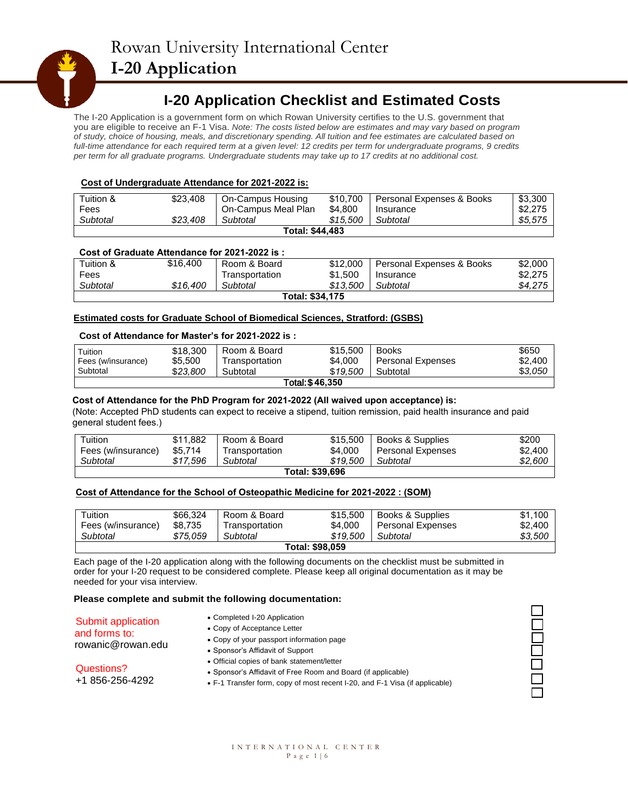## **I-20 Application Checklist and Estimated Costs**

The I-20 Application is a government form on which Rowan University certifies to the U.S. government that you are eligible to receive an F-1 Visa. *Note: The costs listed below are estimates and may vary based on program of study, choice of housing, meals, and discretionary spending. All tuition and fee estimates are calculated based on full-time attendance for each required term at a given level: 12 credits per term for undergraduate programs, 9 credits per term for all graduate programs. Undergraduate students may take up to 17 credits at no additional cost.*

### **Cost of Undergraduate Attendance for 2021-2022 is:**

| Tuition & | \$23,408 | On-Campus Housing      | \$10,700 | Personal Expenses & Books | \$3.300 |
|-----------|----------|------------------------|----------|---------------------------|---------|
| Fees      |          | On-Campus Meal Plan    | \$4,800  | Insurance                 | \$2,275 |
| Subtotal  | \$23.408 | Subtotal               | \$15.500 | Subtotal                  | \$5.575 |
|           |          | <b>Total: \$44,483</b> |          |                           |         |

### **Cost of Graduate Attendance for 2021-2022 is :**

| Tuition & | \$16,400 | Room & Board   | \$12,000        | Personal Expenses & Books | \$2,000 |
|-----------|----------|----------------|-----------------|---------------------------|---------|
| Fees      |          | Fransportation | \$1.500         | Insurance                 | \$2,275 |
| Subtotal  | \$16.400 | Subtotal       | \$13.500        | Subtotal                  | \$4,275 |
|           |          |                | Total: \$34,175 |                           |         |

#### **Estimated costs for Graduate School of Biomedical Sciences, Stratford: (GSBS)**

#### **Cost of Attendance for Master's for 2021-2022 is :**

| Tuition<br>Fees (w/insurance) | \$18,300<br>\$5.500 | Room & Board<br>Transportation | \$15,500<br>\$4,000 | <b>Books</b><br><b>Personal Expenses</b> | \$650<br>\$2,400 |
|-------------------------------|---------------------|--------------------------------|---------------------|------------------------------------------|------------------|
| Subtotal                      | \$23,800            | Subtotal                       | \$19,500            | Subtotal                                 | \$3,050          |
|                               |                     |                                | Total: \$46,350     |                                          |                  |

#### **Cost of Attendance for the PhD Program for 2021-2022 (All waived upon acceptance) is:**

(Note: Accepted PhD students can expect to receive a stipend, tuition remission, paid health insurance and paid general student fees.)

| Tuition<br>Fees (w/insurance) | \$11.882<br>\$5.714 | Room & Board<br>Transportation | \$15,500<br>\$4,000 | Books & Supplies<br>Personal Expenses | \$200<br>\$2,400 |
|-------------------------------|---------------------|--------------------------------|---------------------|---------------------------------------|------------------|
| Subtotal                      | \$17.596            | Subtotal                       | \$19,500            | Subtotal                              | \$2,600          |
|                               |                     |                                | Total: \$39,696     |                                       |                  |

#### **Cost of Attendance for the School of Osteopathic Medicine for 2021-2022 : (SOM)**

| Tuition            | \$66.324 | Room & Board   | \$15,500               | Books & Supplies         | \$1,100 |
|--------------------|----------|----------------|------------------------|--------------------------|---------|
| Fees (w/insurance) | \$8.735  | Transportation | \$4.000                | <b>Personal Expenses</b> | \$2,400 |
| Subtotal           | \$75.059 | Subtotal       | \$19,500               | Subtotal                 | \$3.500 |
|                    |          |                | <b>Total: \$98,059</b> |                          |         |

Each page of the I-20 application along with the following documents on the checklist must be submitted in order for your I-20 request to be considered complete. Please keep all original documentation as it may be needed for your visa interview.

#### **Please complete and submit the following documentation:**

| Submit application |
|--------------------|
| and forms to:      |
| $r_0$              |

#### • Completed I-20 Application

- rowanic@rowan.edu
- Copy of Acceptance Letter
- Copy of your passport information page
- Sponsor's Affidavit of Support
	- Official copies of bank statement/letter
- Questions? +1 856-256-4292
- F-1 Transfer form, copy of most recent I-20, and F-1 Visa (if applicable)

1<br>8<br>8

| INTERNATIONAL CENTER |                 |  |
|----------------------|-----------------|--|
|                      | Page $1 \mid 6$ |  |

• Sponsor's Affidavit of Free Room and Board (if applicable)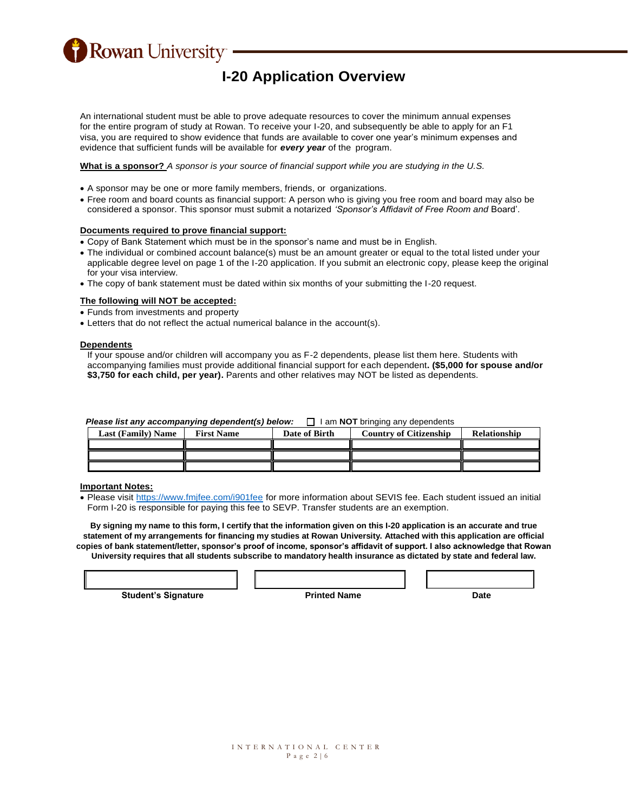**Rowan University** 

# **I-20 Application Overview**

An international student must be able to prove adequate resources to cover the minimum annual expenses for the entire program of study at Rowan. To receive your I-20, and subsequently be able to apply for an F1 visa, you are required to show evidence that funds are available to cover one year's minimum expenses and evidence that sufficient funds will be available for *every year* of the program.

**What is a sponsor?** *A sponsor is your source of financial support while you are studying in the U.S.*

- A sponsor may be one or more family members, friends, or organizations.
- Free room and board counts as financial support: A person who is giving you free room and board may also be considered a sponsor. This sponsor must submit a notarized *'Sponsor's Affidavit of Free Room and* Board'.

#### **Documents required to prove financial support:**

- Copy of Bank Statement which must be in the sponsor's name and must be in English.
- The individual or combined account balance(s) must be an amount greater or equal to the total listed under your applicable degree level on page 1 of the I-20 application. If you submit an electronic copy, please keep the original for your visa interview.
- The copy of bank statement must be dated within six months of your submitting the I-20 request.

#### **The following will NOT be accepted:**

- Funds from investments and property
- Letters that do not reflect the actual numerical balance in the account(s).

#### **Dependents**

If your spouse and/or children will accompany you as F-2 dependents, please list them here. Students with accompanying families must provide additional financial support for each dependent**. (\$5,000 for spouse and/or \$3,750 for each child, per year).** Parents and other relatives may NOT be listed as dependents.

| Please list any accompanying dependent(s) below: | $\Box$ I am <b>NOT</b> bringing any dependents |
|--------------------------------------------------|------------------------------------------------|
|                                                  |                                                |

| <b>Last (Family) Name</b> | <b>First Name</b> | Date of Birth | <b>Country of Citizenship</b> | Relationship |
|---------------------------|-------------------|---------------|-------------------------------|--------------|
|                           |                   |               |                               |              |
|                           |                   |               |                               |              |
|                           |                   |               |                               |              |

#### **Important Notes:**

 Please visit<https://www.fmjfee.com/i901fee> for more information about SEVIS fee. Each student issued an initial Form I-20 is responsible for paying this fee to SEVP. Transfer students are an exemption.

**By signing my name to this form, I certify that the information given on this I-20 application is an accurate and true statement of my arrangements for financing my studies at Rowan University. Attached with this application are official copies of bank statement/letter, sponsor's proof of income, sponsor's affidavit of support. I also acknowledge that Rowan University requires that all students subscribe to mandatory health insurance as dictated by state and federal law.**

**Student's Signature The Contract Printed Name Contract Printed Name Contract Printed Name Contract Printed Name Contract Printed Name Contract Printed Name Contract Printed Name Contract Printed Name Contract Printed Name**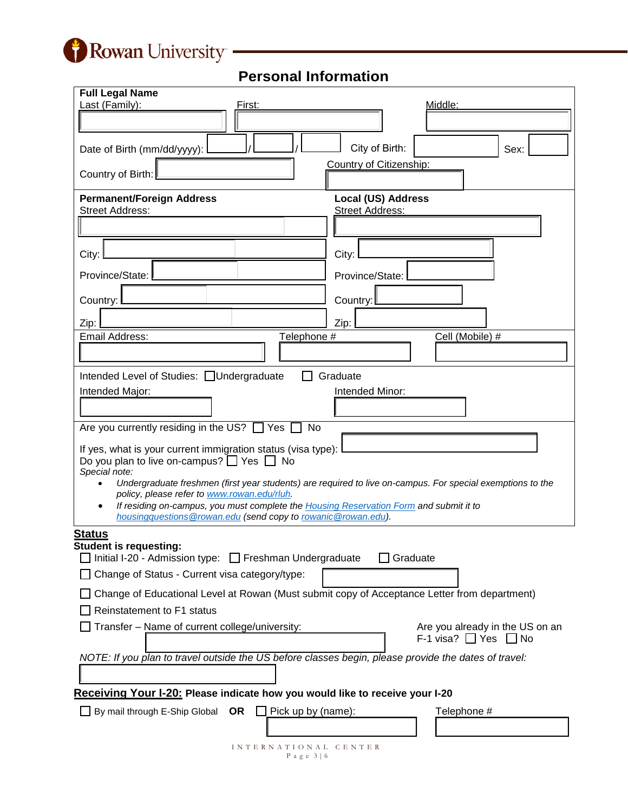

**Personal Information**

| <b>Full Legal Name</b>                                                                                                                             |                                                                                                            |
|----------------------------------------------------------------------------------------------------------------------------------------------------|------------------------------------------------------------------------------------------------------------|
| Last (Family):<br>First:                                                                                                                           | <u>Middle:</u>                                                                                             |
|                                                                                                                                                    |                                                                                                            |
| Date of Birth (mm/dd/yyyy):                                                                                                                        | City of Birth:<br>Sex:                                                                                     |
| Country of Birth:                                                                                                                                  | Country of Citizenship:                                                                                    |
| <b>Permanent/Foreign Address</b>                                                                                                                   | <b>Local (US) Address</b>                                                                                  |
| <b>Street Address:</b>                                                                                                                             | <b>Street Address:</b>                                                                                     |
|                                                                                                                                                    |                                                                                                            |
| City:                                                                                                                                              | City:                                                                                                      |
| Province/State:                                                                                                                                    | Province/State:                                                                                            |
| Country:                                                                                                                                           | Country:                                                                                                   |
| Zip:                                                                                                                                               | Zip:                                                                                                       |
| Email Address:<br>Telephone #                                                                                                                      | Cell (Mobile) #                                                                                            |
|                                                                                                                                                    |                                                                                                            |
| Intended Level of Studies: Undergraduate                                                                                                           | Graduate                                                                                                   |
| Intended Major:                                                                                                                                    | Intended Minor:                                                                                            |
|                                                                                                                                                    |                                                                                                            |
| Are you currently residing in the US? $\Box$ Yes<br>No                                                                                             |                                                                                                            |
| If yes, what is your current immigration status (visa type):<br>Do you plan to live on-campus? $\Box$ Yes $\Box$ No<br>Special note:               |                                                                                                            |
|                                                                                                                                                    | Undergraduate freshmen (first year students) are required to live on-campus. For special exemptions to the |
| policy, please refer to www.rowan.edu/rluh.<br>If residing on-campus, you must complete the Housing Reservation Form and submit it to<br>$\bullet$ |                                                                                                            |
| housingquestions@rowan.edu (send copy to rowanic@rowan.edu).                                                                                       |                                                                                                            |
| <b>Status</b><br><b>Student is requesting:</b>                                                                                                     |                                                                                                            |
| $\Box$ Initial I-20 - Admission type: $\Box$ Freshman Undergraduate                                                                                | Graduate                                                                                                   |
| Change of Status - Current visa category/type:                                                                                                     |                                                                                                            |
| Change of Educational Level at Rowan (Must submit copy of Acceptance Letter from department)                                                       |                                                                                                            |
| Reinstatement to F1 status                                                                                                                         |                                                                                                            |
| Transfer - Name of current college/university:                                                                                                     | Are you already in the US on an<br>F-1 visa? $\Box$ Yes $\Box$ No                                          |
|                                                                                                                                                    |                                                                                                            |
| NOTE: If you plan to travel outside the US before classes begin, please provide the dates of travel:                                               |                                                                                                            |
| Receiving Your I-20: Please indicate how you would like to receive your I-20                                                                       |                                                                                                            |
| By mail through E-Ship Global<br>OR<br>Pick up by (name):                                                                                          | Telephone #                                                                                                |
|                                                                                                                                                    |                                                                                                            |
|                                                                                                                                                    |                                                                                                            |

I N T E R N A T I O N A L C E N T E R P a g e 3 | 6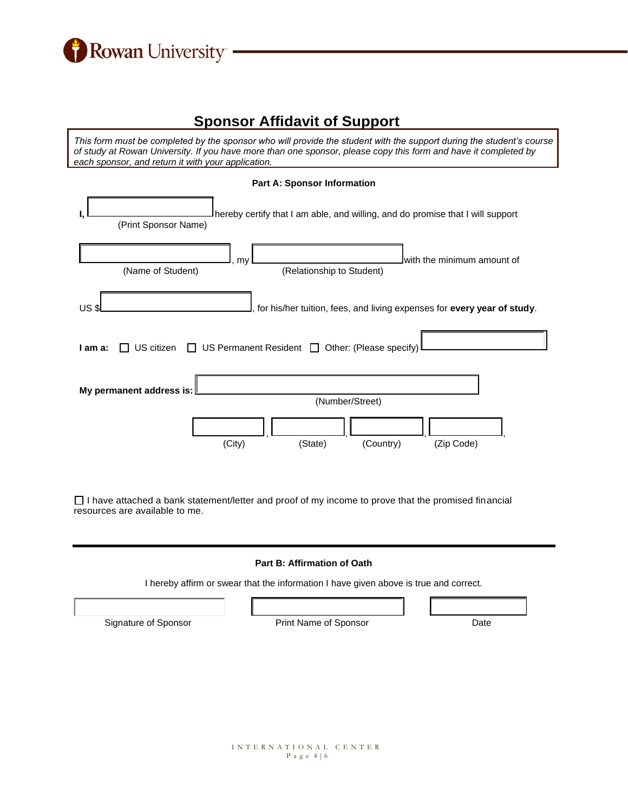

# **Sponsor Affidavit of Support**

*This form must be completed by the sponsor who will provide the student with the support during the student's course of study at Rowan University. If you have more than one sponsor, please copy this form and have it completed by each sponsor, and return it with your application.*

|             | <b>Part A: Sponsor Information</b>                                                                     |
|-------------|--------------------------------------------------------------------------------------------------------|
|             | hereby certify that I am able, and willing, and do promise that I will support<br>(Print Sponsor Name) |
|             | Iwith the minimum amount of<br>my<br>(Name of Student)<br>(Relationship to Student)                    |
| <b>US\$</b> | for his/her tuition, fees, and living expenses for every year of study.                                |
| I am a:     | US Permanent Resident   Other: (Please specify)<br>US citizen<br>$\mathbf{L}$                          |
|             | My permanent address is:<br>(Number/Street)                                                            |
|             | (City)<br>(Zip Code)<br>(State)<br>(Country)                                                           |

 $\Box$  I have attached a bank statement/letter and proof of my income to prove that the promised financial resources are available to me.

#### **Part B: Affirmation of Oath**

I hereby affirm or swear that the information I have given above is true and correct.

| Print Name of Sponsor | Date |
|-----------------------|------|
|                       |      |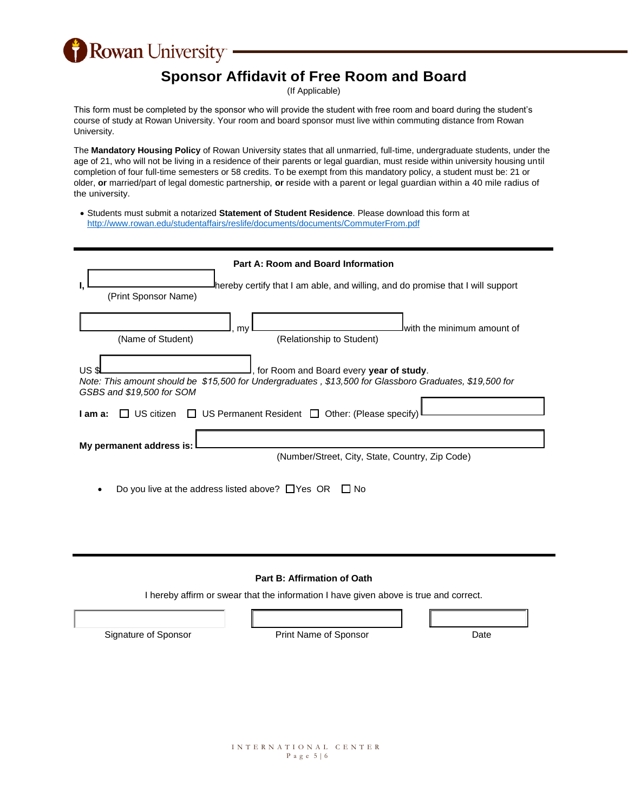Rowan University

## **Sponsor Affidavit of Free Room and Board**

(If Applicable)

This form must be completed by the sponsor who will provide the student with free room and board during the student's course of study at Rowan University. Your room and board sponsor must live within commuting distance from Rowan University.

The **Mandatory Housing Policy** of Rowan University states that all unmarried, full-time, undergraduate students, under the age of 21, who will not be living in a residence of their parents or legal guardian, must reside within university housing until completion of four full-time semesters or 58 credits. To be exempt from this mandatory policy, a student must be: 21 or older, **or** married/part of legal domestic partnership, **or** reside with a parent or legal guardian within a 40 mile radius of the university.

 Students must submit a notarized **Statement of Student Residence**. Please download this form at <http://www.rowan.edu/studentaffairs/reslife/documents/documents/CommuterFrom.pdf>

| Part A: Room and Board Information<br>hereby certify that I am able, and willing, and do promise that I will support<br>(Print Sponsor Name)                                            |  |  |  |
|-----------------------------------------------------------------------------------------------------------------------------------------------------------------------------------------|--|--|--|
| lwith the minimum amount of<br>mv<br>(Relationship to Student)<br>(Name of Student)                                                                                                     |  |  |  |
| US<br>, for Room and Board every year of study.<br>Note: This amount should be \$15,500 for Undergraduates, \$13,500 for Glassboro Graduates, \$19,500 for<br>GSBS and \$19,500 for SOM |  |  |  |
| $\Box$ US Permanent Resident $\Box$ Other: (Please specify)<br>US citizen<br>I am a:<br>My permanent address is:<br>(Number/Street, City, State, Country, Zip Code)                     |  |  |  |
| Do you live at the address listed above? $\Box$ Yes OR<br>No                                                                                                                            |  |  |  |

## **Part B: Affirmation of Oath**

I hereby affirm or swear that the information I have given above is true and correct.

Signature of Sponsor Print Name of Sponsor Date